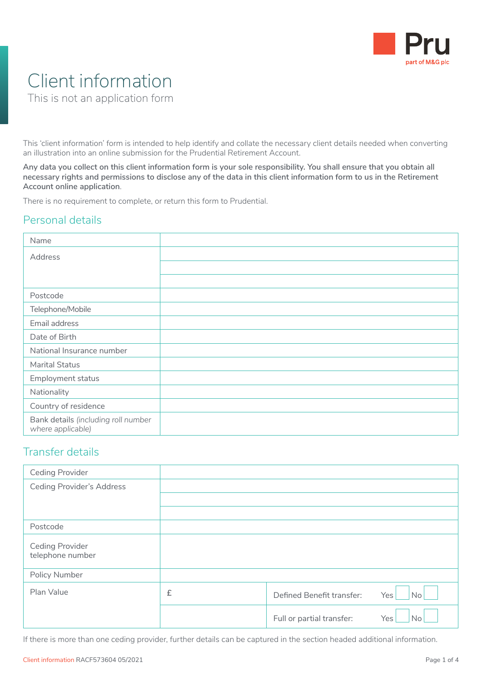

# Client information

This is not an application form

This 'client information' form is intended to help identify and collate the necessary client details needed when converting an illustration into an online submission for the Prudential Retirement Account.

**Any data you collect on this client information form is your sole responsibility. You shall ensure that you obtain all necessary rights and permissions to disclose any of the data in this client information form to us in the Retirement Account online application**.

There is no requirement to complete, or return this form to Prudential.

## Personal details

| Name                                                     |  |
|----------------------------------------------------------|--|
| Address                                                  |  |
|                                                          |  |
|                                                          |  |
| Postcode                                                 |  |
| Telephone/Mobile                                         |  |
| Email address                                            |  |
| Date of Birth                                            |  |
| National Insurance number                                |  |
| Marital Status                                           |  |
| Employment status                                        |  |
| Nationality                                              |  |
| Country of residence                                     |  |
| Bank details (including roll number<br>where applicable) |  |

### Transfer details

| <b>Ceding Provider</b>                     |   |                           |                  |
|--------------------------------------------|---|---------------------------|------------------|
| <b>Ceding Provider's Address</b>           |   |                           |                  |
|                                            |   |                           |                  |
|                                            |   |                           |                  |
| Postcode                                   |   |                           |                  |
| <b>Ceding Provider</b><br>telephone number |   |                           |                  |
| Policy Number                              |   |                           |                  |
| Plan Value                                 | £ | Defined Benefit transfer: | No<br>Yes        |
|                                            |   | Full or partial transfer: | <b>No</b><br>Yes |

If there is more than one ceding provider, further details can be captured in the section headed additional information.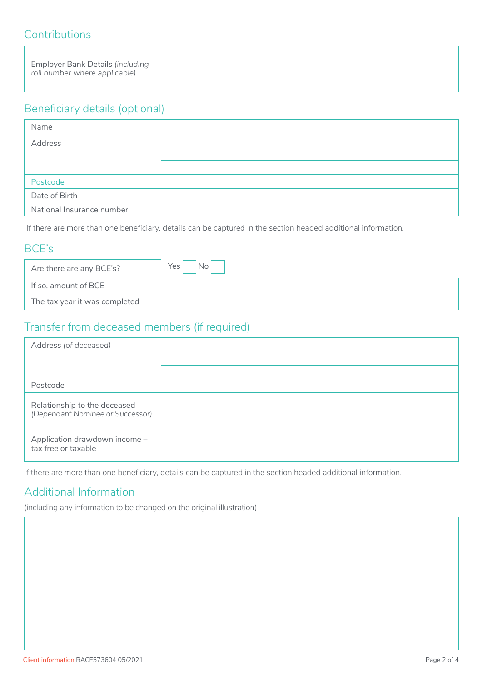## **Contributions**

## Beneficiary details (optional)

| Name                      |  |
|---------------------------|--|
| Address                   |  |
|                           |  |
|                           |  |
| Postcode                  |  |
| Date of Birth             |  |
| National Insurance number |  |

If there are more than one beneficiary, details can be captured in the section headed additional information.

## BCE's

| Are there are any BCE's?      | Yes |
|-------------------------------|-----|
| If so, amount of BCE          |     |
| The tax year it was completed |     |

## Transfer from deceased members (if required)

| Address (of deceased)                                            |  |
|------------------------------------------------------------------|--|
|                                                                  |  |
|                                                                  |  |
| Postcode                                                         |  |
| Relationship to the deceased<br>(Dependant Nominee or Successor) |  |
| Application drawdown income -<br>tax free or taxable             |  |

If there are more than one beneficiary, details can be captured in the section headed additional information.

## Additional Information

(including any information to be changed on the original illustration)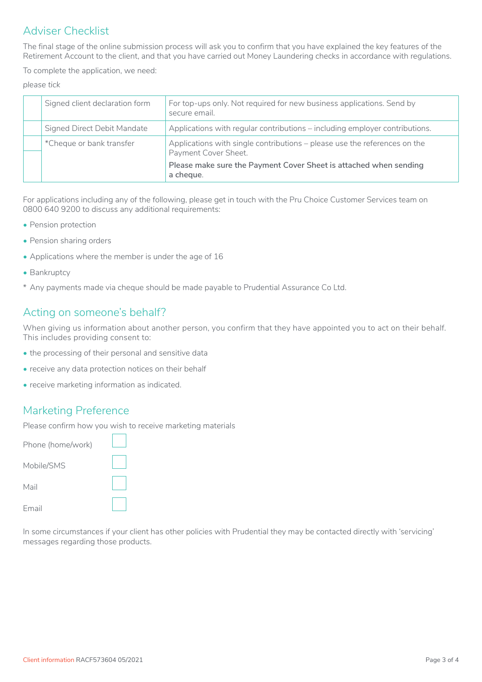## Adviser Checklist

The final stage of the online submission process will ask you to confirm that you have explained the key features of the Retirement Account to the client, and that you have carried out Money Laundering checks in accordance with regulations.

To complete the application, we need:

*please tick*

| Signed client declaration form | For top-ups only. Not required for new business applications. Send by<br>secure email.            |
|--------------------------------|---------------------------------------------------------------------------------------------------|
| Signed Direct Debit Mandate    | Applications with regular contributions – including employer contributions.                       |
| *Cheque or bank transfer       | Applications with single contributions – please use the references on the<br>Payment Cover Sheet. |
|                                | Please make sure the Payment Cover Sheet is attached when sending<br>a cheque.                    |

For applications including any of the following, please get in touch with the Pru Choice Customer Services team on 0800 640 9200 to discuss any additional requirements:

- Pension protection
- Pension sharing orders
- Applications where the member is under the age of 16
- Bankruptcy
- \* Any payments made via cheque should be made payable to Prudential Assurance Co Ltd.

## Acting on someone's behalf?

When giving us information about another person, you confirm that they have appointed you to act on their behalf. This includes providing consent to:

- the processing of their personal and sensitive data
- receive any data protection notices on their behalf
- receive marketing information as indicated.

#### Marketing Preference

Please confirm how you wish to receive marketing materials

| Phone (home/work) |  |
|-------------------|--|
| Mobile/SMS        |  |
| Mail              |  |
| <b>Email</b>      |  |

In some circumstances if your client has other policies with Prudential they may be contacted directly with 'servicing' messages regarding those products.